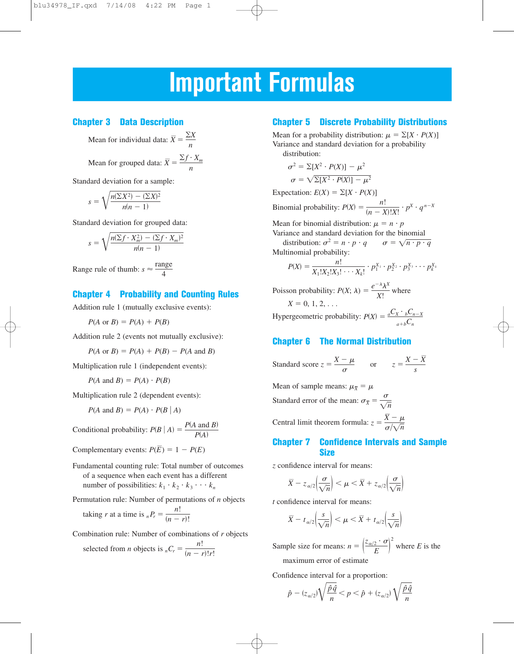# **Important Formulas**

## **Chapter 3 Data Description**

Mean for individual data:  $\bar{X} = \frac{\sum X}{n}$ 

Mean for grouped data:  $\bar{X} = \frac{\sum f \cdot X_m}{n}$ 

Standard deviation for a sample:

$$
s = \sqrt{\frac{n(\Sigma X^2) - (\Sigma X)^2}{n(n-1)}}
$$

Standard deviation for grouped data:

$$
s = \sqrt{\frac{n(\sum f \cdot X_m^2) - (\sum f \cdot X_m)^2}{n(n-1)}}
$$

Range rule of thumb:  $s \approx \frac{\text{range}}{4}$ 

## **Chapter 4 Probability and Counting Rules**

Addition rule 1 (mutually exclusive events):

$$
P(A \text{ or } B) = P(A) + P(B)
$$

Addition rule 2 (events not mutually exclusive):

$$
P(A \text{ or } B) = P(A) + P(B) - P(A \text{ and } B)
$$

Multiplication rule 1 (independent events):

 $P(A \text{ and } B) = P(A) \cdot P(B)$ 

Multiplication rule 2 (dependent events):

$$
P(A \text{ and } B) = P(A) \cdot P(B \mid A)
$$

Conditional probability:  $P(B | A) = \frac{P(A \text{ and } B)}{P(A)}$ 

Complementary events:  $P(\overline{E}) = 1 - P(E)$ 

Fundamental counting rule: Total number of outcomes of a sequence when each event has a different number of possibilities:  $k_1 \cdot k_2 \cdot k_3 \cdot \cdot \cdot k_n$ 

Permutation rule: Number of permutations of *n* objects

taking *r* at a time is 
$$
_{n}P_{r} = \frac{n!}{(n-r)!}
$$

Combination rule: Number of combinations of *r* objects selected from *n* objects is  $_nC_r = \frac{n!}{(n-r)!r!}$ 

#### **Chapter 5 Discrete Probability Distributions**

Mean for a probability distribution:  $\mu = \Sigma[X \cdot P(X)]$ Variance and standard deviation for a probability distribution:

$$
\sigma^2 = \sum [X^2 \cdot P(X)] - \mu^2
$$

$$
\sigma = \sqrt{\sum [X^2 \cdot P(X)] - \mu^2}
$$

Expectation:  $E(X) = \sum [X \cdot P(X)]$ 

Binomial probability:  $P(X) = \frac{n!}{(n - X)!X!} \cdot p^X \cdot q^{n-X}$ 

Mean for binomial distribution:  $\mu = n \cdot p$ Variance and standard deviation for the binomial

distribution:  $\sigma^2 = n \cdot p \cdot q$   $\sigma = \sqrt{n \cdot p \cdot q}$ Multinomial probability:

$$
P(X) = \frac{n!}{X_1!X_2!X_3! \cdots X_k!} \cdot p_1^{X_1} \cdot p_2^{X_2} \cdot p_3^{X_3} \cdots p_k^{X_k}
$$

Poisson probability:  $P(X; \lambda) = \frac{e^{-\lambda} \lambda^{X}}{Y!}$  where  $X = 0, 1, 2, \ldots$ *X*!

Hypergeometric probability:  $P(X) = \frac{aC_X \cdot bC_{n-X}}{C}$  $a+bC_n$ 

## **Chapter 6 The Normal Distribution**

Standard score  $z = \frac{X - \mu}{\sigma}$  or  $z = \frac{X - \overline{X}}{s}$ *s*

Mean of sample means:  $\mu_{\overline{X}} = \mu$ Standard error of the mean:  $\sigma_{\bar{X}} = \frac{\sigma}{\sqrt{2}}$ Central limit theorem formula:  $z = \frac{\overline{X} - \mu}{\frac{L}{\sqrt{n}}}$  $\sigma/\sqrt{n}$  $\sqrt{n}$ 

### **Chapter 7 Confidence Intervals and Sample Size**

*z* confidence interval for means:

$$
\overline{X} - z_{\alpha/2} \left( \frac{\sigma}{\sqrt{n}} \right) < \mu < \overline{X} + z_{\alpha/2} \left( \frac{\sigma}{\sqrt{n}} \right)
$$

*t* confidence interval for means:

$$
\overline{X} - t_{\alpha/2} \left( \frac{s}{\sqrt{n}} \right) < \mu < \overline{X} + t_{\alpha/2} \left( \frac{s}{\sqrt{n}} \right)
$$

Sample size for means:  $n = \left(\frac{z_{\alpha/2} \cdot \sigma}{F}\right)^2$  where *E* is the maximum error of estimate *E* 2

Confidence interval for a proportion:

$$
\hat{p} - (z_{\alpha/2})\sqrt{\frac{\hat{p}\hat{q}}{n}} < p < \hat{p} + (z_{\alpha/2})\sqrt{\frac{\hat{p}\hat{q}}{n}}
$$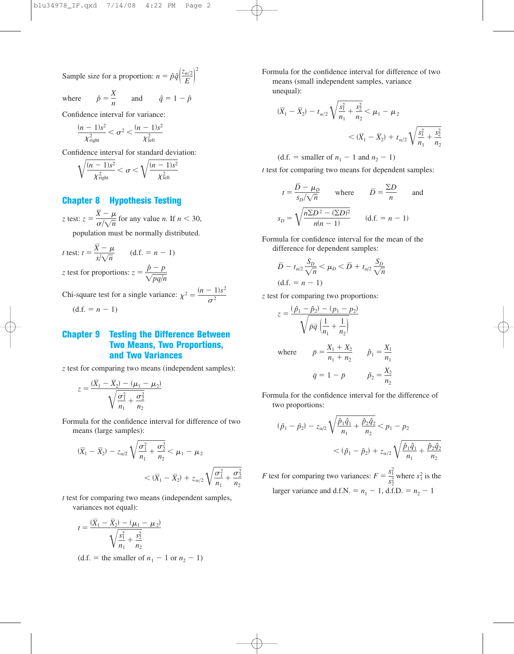Sample size for a proportion:  $n = \hat{p}\hat{q} \left| \frac{z_{\alpha/2}}{F} \right|$  $\frac{E}{E}$ 

where 
$$
\hat{p} = \frac{X}{n}
$$
 and  $\hat{q} = 1 - \hat{p}$ 

Confidence interval for variance:

$$
\frac{(n-1)s^2}{\chi^2_{\text{right}}} < \sigma^2 < \frac{(n-1)s^2}{\chi^2_{\text{left}}}
$$

Confidence interval for standard deviation:

$$
\sqrt{\frac{(n-1)s^2}{\chi^2_{\text{right}}}} < \sigma < \sqrt{\frac{(n-1)s^2}{\chi^2_{\text{left}}}}
$$

#### **Chapter 8 Hypothesis Testing**

*z* test:  $z = \frac{\overline{X} - \mu}{\sqrt{X}}$  for any value *n*. If  $n < 30$ ,  $\sigma/\sqrt{n}$ 

population must be normally distributed.

*t* test: 
$$
t = \frac{\overline{X} - \mu}{s/\sqrt{n}}
$$
 (d.f. =  $n - 1$ )

*z* test for proportions:  $z = \frac{\hat{p} - p}{\sqrt{p}}$  $\sqrt{pq/n}$ 

Chi-square test for a single variance:  $\chi^2 = \frac{(n-1)s^2}{\sigma^2}$ 

 $(d.f. = n - 1)$ 

## **Chapter 9 Testing the Difference Between Two Means, Two Proportions, and Two Variances**

*z* test for comparing two means (independent samples):

$$
z = \frac{(\overline{X}_1 - \overline{X}_2) - (\mu_1 - \mu_2)}{\sqrt{\frac{\sigma_1^2}{n_1} + \frac{\sigma_2^2}{n_2}}}
$$

Formula for the confidence interval for difference of two means (large samples):

$$
(\overline{X}_1 - \overline{X}_2) - z_{\alpha/2} \sqrt{\frac{\sigma_1^2}{n_1} + \frac{\sigma_2^2}{n_2}} < \mu_1 - \mu_2
$$
  

$$
< (\overline{X}_1 - \overline{X}_2) + z_{\alpha/2} \sqrt{\frac{\sigma_1^2}{n_1} + \frac{\sigma_2^2}{n_2}}
$$

*t* test for comparing two means (independent samples, variances not equal):

$$
t = \frac{(\overline{X}_1 - \overline{X}_2) - (\mu_1 - \mu_2)}{\sqrt{\frac{s_1^2}{n_1} + \frac{s_2^2}{n_2}}}
$$

 $(d.f. = the smaller of  $n_1 - 1$  or  $n_2 - 1$ )$ 

<sup>2</sup> Formula for the confidence interval for difference of two means (small independent samples, variance unequal):

$$
(\overline{X}_1 - \overline{X}_2) - t_{\alpha/2} \sqrt{\frac{s_1^2}{n_1} + \frac{s_2^2}{n_2}} < \mu_1 - \mu_2
$$
  

$$
< (\overline{X}_1 - \overline{X}_2) + t_{\alpha/2} \sqrt{\frac{s_1^2}{n_1} + \frac{s_2^2}{n_2}}
$$

(d.f. = smaller of 
$$
n_1 - 1
$$
 and  $n_2 - 1$ )

*t* test for comparing two means for dependent samples:

$$
t = \frac{\overline{D} - \mu_D}{s_D / \sqrt{n}} \quad \text{where} \quad \overline{D} = \frac{\Sigma D}{n} \quad \text{and}
$$

$$
s_D = \sqrt{\frac{n \Sigma D^2 - (\Sigma D)^2}{n(n-1)}} \quad (\text{d.f.} = n - 1)
$$

Formula for confidence interval for the mean of the difference for dependent samples:

$$
\overline{D} - t_{\alpha/2} \frac{S_D}{\sqrt{n}} < \mu_D < \overline{D} + t_{\alpha/2} \frac{S_D}{\sqrt{n}}
$$
\n(d.f. = n - 1)

*z* test for comparing two proportions:

$$
z = \frac{(\hat{p}_1 - \hat{p}_2) - (p_1 - p_2)}{\sqrt{\bar{p}\bar{q} \left(\frac{1}{n_1} + \frac{1}{n_2}\right)}}
$$
  
where 
$$
\bar{p} = \frac{X_1 + X_2}{n_1 + n_2} \qquad \hat{p}_1 = \frac{X_1}{n_1}
$$

$$
\bar{q} = 1 - \bar{p} \qquad \hat{p}_2 = \frac{X_2}{n_2}
$$

Formula for the confidence interval for the difference of two proportions:

$$
(\hat{p}_1 - \hat{p}_2) - z_{\alpha/2} \sqrt{\frac{\hat{p}_1 \hat{q}_1}{n_1} + \frac{\hat{p}_2 \hat{q}_2}{n_2}} < p_1 - p_2
$$
  

$$
< (\hat{p}_1 - \hat{p}_2) + z_{\alpha/2} \sqrt{\frac{\hat{p}_1 \hat{q}_1}{n_1} + \frac{\hat{p}_2 \hat{q}_2}{n_2}}
$$

*F* test for comparing two variances:  $F = \frac{s_1^2}{s_2^2}$  where  $s_1^2$  is the larger variance and d.f.N. =  $n_1 - 1$ , d.f.D. =  $n_2 - 1$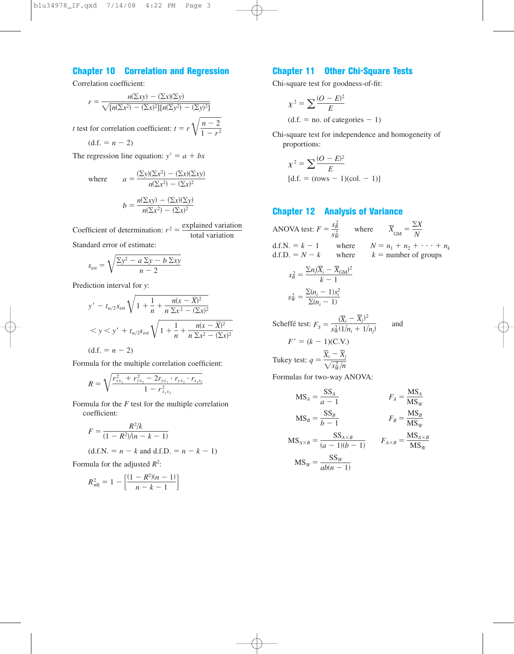## **Chapter 10 Correlation and Regression**

Correlation coefficient:

$$
r = \frac{n(\Sigma xy) - (\Sigma x)(\Sigma y)}{\sqrt{[n(\Sigma x^2) - (\Sigma x)^2][n(\Sigma y^2) - (\Sigma y)^2]}}
$$

*t* test for correlation coefficient:  $t = r \sqrt{\frac{n-2}{1-r^2}}$ 

$$
(d.f. = n - 2)
$$

The regression line equation:  $y' = a + bx$ 

where 
$$
a = \frac{(\Sigma y)(\Sigma x^2) - (\Sigma x)(\Sigma xy)}{n(\Sigma x^2) - (\Sigma x)^2}
$$

$$
b = \frac{n(\Sigma xy) - (\Sigma x)(\Sigma y)}{n(\Sigma x^2) - (\Sigma x)^2}
$$

Coefficient of determination:  $r^2 = \frac{\text{explained variation}}{\text{total resistance}}$ total variation

Standard error of estimate:

$$
s_{\text{est}} = \sqrt{\frac{\sum y^2 - a \sum y - b \sum xy}{n - 2}}
$$

Prediction interval for *y*:

$$
y' - t_{\alpha/2} s_{est} \sqrt{1 + \frac{1}{n} + \frac{n(x - \bar{X})^2}{n \sum x^2 - (\sum x)^2}}
$$
  
< 
$$
< y < y' + t_{\alpha/2} s_{est} \sqrt{1 + \frac{1}{n} + \frac{n(x - \bar{X})^2}{n \sum x^2 - (\sum x)^2}}
$$
  
(d.f. = n - 2)

Formula for the multiple correlation coefficient:

$$
R = \sqrt{\frac{r_{yx_1}^2 + r_{yx_2}^2 - 2r_{yx_1} \cdot r_{yx_2} \cdot r_{x_1x_2}}{1 - r_{x_1x_2}^2}}
$$

Formula for the *F* test for the multiple correlation coefficient:

$$
F = \frac{R^2/k}{(1 - R^2)/(n - k - 1)}
$$
  
(d.f.N. = n - k and d.f.D. = n - k - 1)

Formula for the adjusted  $R^2$ :

$$
R_{\text{adj}}^2 = 1 - \left[ \frac{(1 - R^2)(n - 1)}{n - k - 1} \right]
$$

## **Chapter 11 Other Chi-Square Tests**

Chi-square test for goodness-of-fit:

$$
\chi^2 = \sum \frac{(O - E)^2}{E}
$$

 $(d.f. = no. of categories - 1)$ 

Chi-square test for independence and homogeneity of proportions:

$$
\chi^{2} = \sum \frac{(O - E)^{2}}{E}
$$
  
[d.f. = (rows - 1)(col. - 1)]

## **Chapter 12 Analysis of Variance**

ANOVA test: 
$$
F = \frac{s_B^2}{s_W^2}
$$
 where  $\overline{X}_{GM} = \frac{\Sigma X}{N}$   
\nd.f.N. =  $k - 1$  where  $N = n_1 + n_2 + \cdots + n_k$   
\nd.f.D. =  $N - k$  where  $k =$  number of groups  
\n
$$
s_B^2 = \frac{\Sigma n_i (\overline{X}_i - \overline{X}_{GM})^2}{k - 1}
$$
\n
$$
s_W^2 = \frac{\Sigma (n_i - 1)s_i^2}{\Sigma (n_i - 1)}
$$
\nScheffé test:  $F_S = \frac{(\overline{X}_i - \overline{X}_j)^2}{s_W^2 (1/n_i + 1/n_j)}$  and  
\n $F' = (k - 1)(C.V.)$   
\nTukey test:  $q = \frac{\overline{X}_i - \overline{X}_j}{\sqrt{s_W^2/n}}$ 

Formulas for two-way ANOVA:

$$
MS_A = \frac{SS_A}{a - 1}
$$
  
\n
$$
F_A = \frac{MS_A}{MS_W}
$$
  
\n
$$
MS_B = \frac{SS_B}{b - 1}
$$
  
\n
$$
F_B = \frac{MS_B}{MS_W}
$$
  
\n
$$
F_B = \frac{MS_B}{MS_W}
$$
  
\n
$$
F_{A \times B} = \frac{MS_{A \times B}}{MS_W}
$$

$$
MS_W = \frac{SS_W}{ab(n-1)}
$$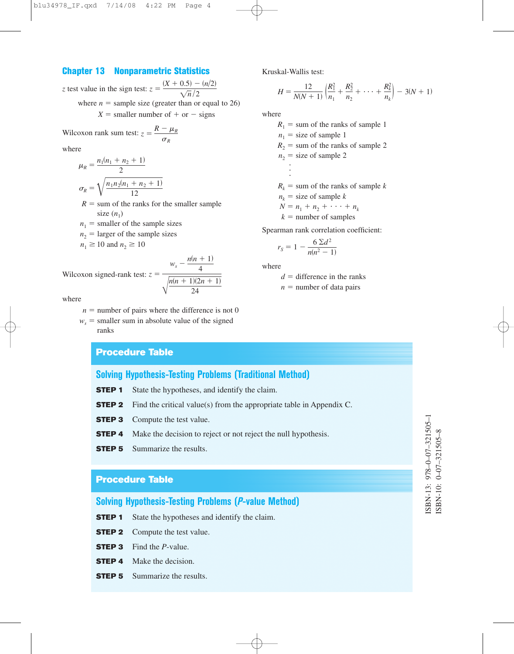#### **Chapter 13 Nonparametric Statistics**

*z* test value in the sign test:  $z = \frac{(X + 0.5) - (n/2)}{\sqrt{2}}$ where  $n =$  sample size (greater than or equal to 26)  $X =$  smaller number of  $+$  or  $-$  signs  $\sqrt{n}/2$ 

Wilcoxon rank sum test: 
$$
z = \frac{R - \mu_R}{\sigma_R}
$$

where

$$
\mu_R = \frac{n_1(n_1 + n_2 + 1)}{2}
$$

$$
\sigma_R = \sqrt{\frac{n_1 n_2(n_1 + n_2 + 1)}{12}}
$$

- $R =$  sum of the ranks for the smaller sample size  $(n_1)$
- $n_1$  = smaller of the sample sizes
- $n_2$  = larger of the sample sizes

 $n_1 \ge 10$  and  $n_2 \ge 10$ 

Wilcoxon signed-rank test: 
$$
z = \frac{w_s - \frac{n(n+1)}{4}}{\sqrt{\frac{n(n+1)(2n+1)}{24}}}
$$

where

- $n =$  number of pairs where the difference is not 0
- $w_s$  = smaller sum in absolute value of the signed ranks

#### **Procedure Table**

## **Solving Hypothesis-Testing Problems (Traditional Method)**

- **STEP 1** State the hypotheses, and identify the claim.
- **STEP 2** Find the critical value(s) from the appropriate table in Appendix C.
- **STEP 3** Compute the test value.
- **STEP 4** Make the decision to reject or not reject the null hypothesis.
- **STEP 5** Summarize the results.

### **Procedure Table**

**Solving Hypothesis-Testing Problems (***P***-value Method)**

- **STEP 1** State the hypotheses and identify the claim.
- **STEP 2** Compute the test value.
- **STEP 3** Find the *P*-value.
- **STEP 4** Make the decision.
- **STEP 5** Summarize the results.

Kruskal-Wallis test:

$$
H = \frac{12}{N(N+1)} \left( \frac{R_1^2}{n_1} + \frac{R_2^2}{n_2} + \dots + \frac{R_k^2}{n_k} \right) - 3(N+1)
$$

where

 $R_1$  = sum of the ranks of sample 1  $n_1$  = size of sample 1  $R_2$  = sum of the ranks of sample 2  $n_2$  = size of sample 2  $\ddot{\phantom{0}}$  $\ddot{\phantom{0}}$  $\ddot{\phantom{0}}$  $R_k$  = sum of the ranks of sample *k*  $n_k$  = size of sample *k*  $N = n_1 + n_2 + \cdots + n_k$  $k =$  number of samples

Spearman rank correlation coefficient:

$$
r_S = 1 - \frac{6 \,\Sigma d^2}{n(n^2 - 1)}
$$

where

 $d =$  difference in the ranks

 $n =$  number of data pairs

# SBN-13: 978-0-07-321505-1 ISBN-13: 978–0–07–321505–1 SBN-10: 0-07-321505-8 ISBN-10: 0–07–321505–8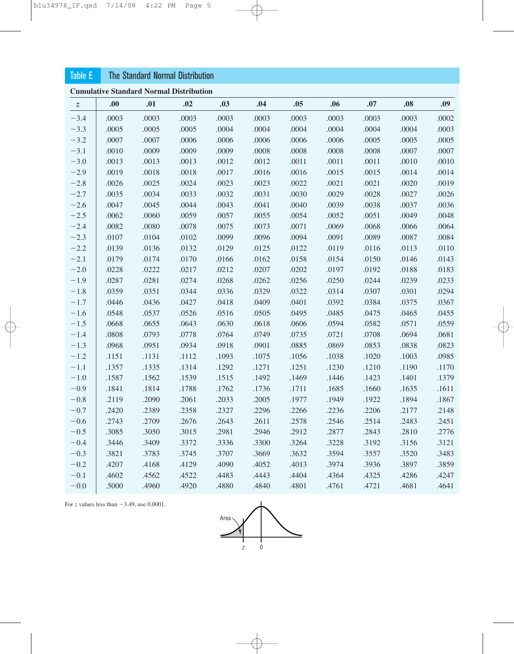## Table E The Standard Normal Distribution

**Cumulative Standard Normal Distribution**

| Z.     | .00.  | .01   | .02   | .03   | .04   | .05   | .06   | .07   | .08   | .09   |  |
|--------|-------|-------|-------|-------|-------|-------|-------|-------|-------|-------|--|
| $-3.4$ | .0003 | .0003 | .0003 | .0003 | .0003 | .0003 | .0003 | .0003 | .0003 | .0002 |  |
| $-3.3$ | .0005 | .0005 | .0005 | .0004 | .0004 | .0004 | .0004 | .0004 | .0004 | .0003 |  |
| $-3.2$ | .0007 | .0007 | .0006 | .0006 | .0006 | .0006 | .0006 | .0005 | .0005 | .0005 |  |
| $-3.1$ | .0010 | .0009 | .0009 | .0009 | .0008 | .0008 | .0008 | .0008 | .0007 | .0007 |  |
| $-3.0$ | .0013 | .0013 | .0013 | .0012 | .0012 | .0011 | .0011 | .0011 | .0010 | .0010 |  |
| $-2.9$ | .0019 | .0018 | .0018 | .0017 | .0016 | .0016 | .0015 | .0015 | .0014 | .0014 |  |
| $-2.8$ | .0026 | .0025 | .0024 | .0023 | .0023 | .0022 | .0021 | .0021 | .0020 | .0019 |  |
| $-2.7$ | .0035 | .0034 | .0033 | .0032 | .0031 | .0030 | .0029 | .0028 | .0027 | .0026 |  |
| $-2.6$ | .0047 | .0045 | .0044 | .0043 | .0041 | .0040 | .0039 | .0038 | .0037 | .0036 |  |
| $-2.5$ | .0062 | .0060 | .0059 | .0057 | .0055 | .0054 | .0052 | .0051 | .0049 | .0048 |  |
| $-2.4$ | .0082 | .0080 | .0078 | .0075 | .0073 | .0071 | .0069 | .0068 | .0066 | .0064 |  |
| $-2.3$ | .0107 | .0104 | .0102 | .0099 | .0096 | .0094 | .0091 | .0089 | .0087 | .0084 |  |
| $-2.2$ | .0139 | .0136 | .0132 | .0129 | .0125 | .0122 | .0119 | .0116 | .0113 | .0110 |  |
| $-2.1$ | .0179 | .0174 | .0170 | .0166 | .0162 | .0158 | .0154 | .0150 | .0146 | .0143 |  |
| $-2.0$ | .0228 | .0222 | .0217 | .0212 | .0207 | .0202 | .0197 | .0192 | .0188 | .0183 |  |
| $-1.9$ | .0287 | .0281 | .0274 | .0268 | .0262 | .0256 | .0250 | .0244 | .0239 | .0233 |  |
| $-1.8$ | .0359 | .0351 | .0344 | .0336 | .0329 | .0322 | .0314 | .0307 | .0301 | .0294 |  |
| $-1.7$ | .0446 | .0436 | .0427 | .0418 | .0409 | .0401 | .0392 | .0384 | .0375 | .0367 |  |
| $-1.6$ | .0548 | .0537 | .0526 | .0516 | .0505 | .0495 | .0485 | .0475 | .0465 | .0455 |  |
| $-1.5$ | .0668 | .0655 | .0643 | .0630 | .0618 | .0606 | .0594 | .0582 | .0571 | .0559 |  |
| $-1.4$ | .0808 | .0793 | .0778 | .0764 | .0749 | .0735 | .0721 | .0708 | .0694 | .0681 |  |
| $-1.3$ | .0968 | .0951 | .0934 | .0918 | .0901 | .0885 | .0869 | .0853 | .0838 | .0823 |  |
| $-1.2$ | .1151 | .1131 | .1112 | .1093 | .1075 | .1056 | .1038 | .1020 | .1003 | .0985 |  |
| $-1.1$ | .1357 | .1335 | .1314 | .1292 | .1271 | .1251 | .1230 | .1210 | .1190 | .1170 |  |
| $-1.0$ | .1587 | .1562 | .1539 | .1515 | .1492 | .1469 | .1446 | .1423 | .1401 | .1379 |  |
| $-0.9$ | .1841 | .1814 | .1788 | .1762 | .1736 | .1711 | .1685 | .1660 | .1635 | .1611 |  |
| $-0.8$ | .2119 | .2090 | .2061 | .2033 | .2005 | .1977 | .1949 | .1922 | .1894 | .1867 |  |
| $-0.7$ | .2420 | .2389 | .2358 | .2327 | .2296 | .2266 | .2236 | .2206 | .2177 | .2148 |  |
| $-0.6$ | .2743 | .2709 | .2676 | .2643 | .2611 | .2578 | .2546 | .2514 | .2483 | .2451 |  |
| $-0.5$ | .3085 | .3050 | .3015 | .2981 | .2946 | .2912 | .2877 | .2843 | .2810 | .2776 |  |
| $-0.4$ | .3446 | .3409 | .3372 | .3336 | .3300 | .3264 | .3228 | .3192 | .3156 | .3121 |  |
| $-0.3$ | .3821 | .3783 | .3745 | .3707 | .3669 | .3632 | .3594 | .3557 | .3520 | .3483 |  |
| $-0.2$ | .4207 | .4168 | .4129 | .4090 | .4052 | .4013 | .3974 | .3936 | .3897 | .3859 |  |
| $-0.1$ | .4602 | .4562 | .4522 | .4483 | .4443 | .4404 | .4364 | .4325 | .4286 | .4247 |  |
| $-0.0$ | .5000 | .4960 | .4920 | .4880 | .4840 | .4801 | .4761 | .4721 | .4681 | .4641 |  |

For  $z$  values less than  $-3.49$ , use 0.0001.

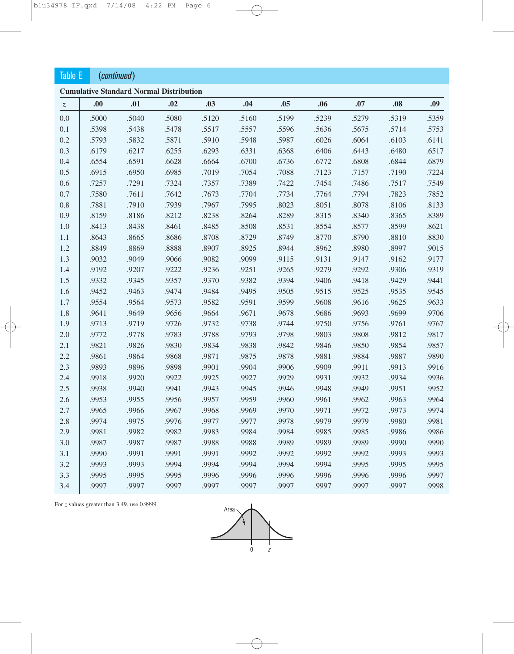| <b>Table E</b>                |       | (continued) |                                                |       |       |       |       |       |       |       |
|-------------------------------|-------|-------------|------------------------------------------------|-------|-------|-------|-------|-------|-------|-------|
|                               |       |             | <b>Cumulative Standard Normal Distribution</b> |       |       |       |       |       |       |       |
| $\ensuremath{\mathnormal{z}}$ | .00   | .01         | .02                                            | .03   | .04   | .05   | .06   | .07   | .08   | .09   |
| 0.0                           | .5000 | .5040       | .5080                                          | .5120 | .5160 | .5199 | .5239 | .5279 | .5319 | .5359 |
| 0.1                           | .5398 | .5438       | .5478                                          | .5517 | .5557 | .5596 | .5636 | .5675 | .5714 | .5753 |
| 0.2                           | .5793 | .5832       | .5871                                          | .5910 | .5948 | .5987 | .6026 | .6064 | .6103 | .6141 |
| 0.3                           | .6179 | .6217       | .6255                                          | .6293 | .6331 | .6368 | .6406 | .6443 | .6480 | .6517 |
| 0.4                           | .6554 | .6591       | .6628                                          | .6664 | .6700 | .6736 | .6772 | .6808 | .6844 | .6879 |
| 0.5                           | .6915 | .6950       | .6985                                          | .7019 | .7054 | .7088 | .7123 | .7157 | .7190 | .7224 |
| 0.6                           | .7257 | .7291       | .7324                                          | .7357 | .7389 | .7422 | .7454 | .7486 | .7517 | .7549 |
| 0.7                           | .7580 | .7611       | .7642                                          | .7673 | .7704 | .7734 | .7764 | .7794 | .7823 | .7852 |
| 0.8                           | .7881 | .7910       | .7939                                          | .7967 | .7995 | .8023 | .8051 | .8078 | .8106 | .8133 |
| 0.9                           | .8159 | .8186       | .8212                                          | .8238 | .8264 | .8289 | .8315 | .8340 | .8365 | .8389 |
| 1.0                           | .8413 | .8438       | .8461                                          | .8485 | .8508 | .8531 | .8554 | .8577 | .8599 | .8621 |
| 1.1                           | .8643 | .8665       | .8686                                          | .8708 | .8729 | .8749 | .8770 | .8790 | .8810 | .8830 |
| 1.2                           | .8849 | .8869       | .8888                                          | .8907 | .8925 | .8944 | .8962 | .8980 | .8997 | .9015 |
| 1.3                           | .9032 | .9049       | .9066                                          | .9082 | .9099 | .9115 | .9131 | .9147 | .9162 | .9177 |
| 1.4                           | .9192 | .9207       | .9222                                          | .9236 | .9251 | .9265 | .9279 | .9292 | .9306 | .9319 |
| 1.5                           | .9332 | .9345       | .9357                                          | .9370 | .9382 | .9394 | .9406 | .9418 | .9429 | .9441 |
| 1.6                           | .9452 | .9463       | .9474                                          | .9484 | .9495 | .9505 | .9515 | .9525 | .9535 | .9545 |
| 1.7                           | .9554 | .9564       | .9573                                          | .9582 | .9591 | .9599 | .9608 | .9616 | .9625 | .9633 |
| 1.8                           | .9641 | .9649       | .9656                                          | .9664 | .9671 | .9678 | .9686 | .9693 | .9699 | .9706 |
| 1.9                           | .9713 | .9719       | .9726                                          | .9732 | .9738 | .9744 | .9750 | .9756 | .9761 | .9767 |
| 2.0                           | .9772 | .9778       | .9783                                          | .9788 | .9793 | .9798 | .9803 | .9808 | .9812 | .9817 |
| 2.1                           | .9821 | .9826       | .9830                                          | .9834 | .9838 | .9842 | .9846 | .9850 | .9854 | .9857 |
| 2.2                           | .9861 | .9864       | .9868                                          | .9871 | .9875 | .9878 | .9881 | .9884 | .9887 | .9890 |
| 2.3                           | .9893 | .9896       | .9898                                          | .9901 | .9904 | .9906 | .9909 | .9911 | .9913 | .9916 |
| 2.4                           | .9918 | .9920       | .9922                                          | .9925 | .9927 | .9929 | .9931 | .9932 | .9934 | .9936 |
| 2.5                           | .9938 | .9940       | .9941                                          | .9943 | .9945 | .9946 | .9948 | .9949 | .9951 | .9952 |
| 2.6                           | .9953 | .9955       | .9956                                          | .9957 | .9959 | .9960 | .9961 | .9962 | .9963 | .9964 |
| 2.7                           | .9965 | .9966       | .9967                                          | .9968 | .9969 | .9970 | .9971 | .9972 | .9973 | .9974 |
| 2.8                           | .9974 | .9975       | .9976                                          | .9977 | .9977 | .9978 | .9979 | .9979 | .9980 | .9981 |
| 2.9                           | .9981 | .9982       | .9982                                          | .9983 | .9984 | .9984 | .9985 | .9985 | .9986 | .9986 |
| 3.0                           | .9987 | .9987       | .9987                                          | .9988 | .9988 | .9989 | .9989 | .9989 | .9990 | .9990 |
| 3.1                           | .9990 | .9991       | .9991                                          | .9991 | .9992 | .9992 | .9992 | .9992 | .9993 | .9993 |
| 3.2                           | .9993 | .9993       | .9994                                          | .9994 | .9994 | .9994 | .9994 | .9995 | .9995 | .9995 |
| 3.3                           | .9995 | .9995       | .9995                                          | .9996 | .9996 | .9996 | .9996 | .9996 | .9996 | .9997 |
| 3.4                           | .9997 | .9997       | .9997                                          | .9997 | .9997 | .9997 | .9997 | .9997 | .9997 | .9998 |

For *z* values greater than 3.49, use 0.9999.

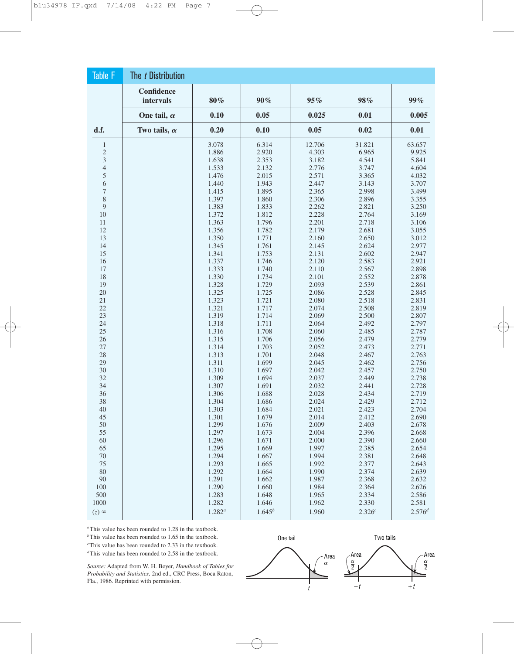| <b>Table F</b> | The t Distribution      |             |             |        |        |             |
|----------------|-------------------------|-------------|-------------|--------|--------|-------------|
|                | Confidence<br>intervals | 80%         | $90\%$      | 95%    | 98%    | 99%         |
|                | One tail, $\alpha$      | 0.10        | 0.05        | 0.025  | 0.01   | 0.005       |
| d.f.           | Two tails, $\alpha$     | 0.20        | 0.10        | 0.05   | 0.02   | 0.01        |
| $\mathbf{1}$   |                         | 3.078       | 6.314       | 12.706 | 31.821 | 63.657      |
| $\sqrt{2}$     |                         | 1.886       | 2.920       | 4.303  | 6.965  | 9.925       |
| $\mathfrak{Z}$ |                         | 1.638       | 2.353       | 3.182  | 4.541  | 5.841       |
| $\overline{4}$ |                         | 1.533       | 2.132       | 2.776  | 3.747  | 4.604       |
| 5              |                         | 1.476       | 2.015       | 2.571  | 3.365  | 4.032       |
| 6              |                         | 1.440       | 1.943       | 2.447  | 3.143  | 3.707       |
| $\sqrt{ }$     |                         | 1.415       | 1.895       | 2.365  | 2.998  | 3.499       |
| 8              |                         | 1.397       | 1.860       | 2.306  | 2.896  | 3.355       |
| 9              |                         | 1.383       | 1.833       | 2.262  | 2.821  | 3.250       |
| 10             |                         | 1.372       | 1.812       | 2.228  | 2.764  | 3.169       |
| 11             |                         | 1.363       | 1.796       | 2.201  | 2.718  | 3.106       |
| 12             |                         | 1.356       | 1.782       | 2.179  | 2.681  | 3.055       |
| 13             |                         | 1.350       | 1.771       | 2.160  | 2.650  | 3.012       |
| 14             |                         | 1.345       | 1.761       | 2.145  | 2.624  | 2.977       |
| 15             |                         | 1.341       | 1.753       | 2.131  | 2.602  | 2.947       |
| 16             |                         | 1.337       | 1.746       | 2.120  | 2.583  | 2.921       |
| 17             |                         | 1.333       | 1.740       | 2.110  | 2.567  | 2.898       |
| 18             |                         | 1.330       | 1.734       | 2.101  | 2.552  | 2.878       |
| 19             |                         | 1.328       | 1.729       | 2.093  | 2.539  | 2.861       |
| 20             |                         | 1.325       | 1.725       | 2.086  | 2.528  | 2.845       |
| 21             |                         | 1.323       | 1.721       | 2.080  | 2.518  | 2.831       |
| 22             |                         | 1.321       | 1.717       | 2.074  | 2.508  | 2.819       |
| 23             |                         | 1.319       | 1.714       | 2.069  | 2.500  | 2.807       |
| 24             |                         | 1.318       | 1.711       | 2.064  | 2.492  | 2.797       |
| 25             |                         | 1.316       | 1.708       | 2.060  | 2.485  | 2.787       |
| 26             |                         | 1.315       | 1.706       | 2.056  | 2.479  | 2.779       |
| 27             |                         | 1.314       | 1.703       | 2.052  | 2.473  | 2.771       |
| 28             |                         | 1.313       | 1.701       | 2.048  | 2.467  | 2.763       |
| 29             |                         | 1.311       | 1.699       | 2.045  | 2.462  | 2.756       |
| 30             |                         | 1.310       | 1.697       | 2.042  | 2.457  | 2.750       |
| 32             |                         | 1.309       | 1.694       | 2.037  | 2.449  | 2.738       |
| 34             |                         | 1.307       | 1.691       | 2.032  | 2.441  | 2.728       |
| 36             |                         | 1.306       | 1.688       | 2.028  | 2.434  | 2.719       |
| 38             |                         | 1.304       | 1.686       | 2.024  | 2.429  | 2.712       |
| 40             |                         | 1.303       | 1.684       | 2.021  | 2.423  | 2.704       |
| 45             |                         | 1.301       | 1.679       | 2.014  | 2.412  | 2.690       |
| 50             |                         | 1.299       | 1.676       | 2.009  | 2.403  | 2.678       |
| 55             |                         | 1.297       | 1.673       | 2.004  | 2.396  | 2.668       |
| 60             |                         | 1.296       | 1.671       | 2.000  | 2.390  | 2.660       |
| 65             |                         | 1.295       | 1.669       | 1.997  | 2.385  | 2.654       |
| 70             |                         | 1.294       | 1.667       | 1.994  | 2.381  | 2.648       |
| $75\,$         |                         | 1.293       | 1.665       | 1.992  | 2.377  | 2.643       |
| 80             |                         | 1.292       | 1.664       | 1.990  | 2.374  | 2.639       |
| 90             |                         | 1.291       | 1.662       | 1.987  | 2.368  | 2.632       |
| 100            |                         | 1.290       | 1.660       | 1.984  | 2.364  | 2.626       |
| 500            |                         | 1.283       | 1.648       | 1.965  | 2.334  | 2.586       |
| 1000           |                         | 1.282       | 1.646       | 1.962  | 2.330  | 2.581       |
| $(z)$ $\infty$ |                         | $1.282^{a}$ | $1.645^{b}$ | 1.960  | 2.326c | $2.576^{d}$ |

*<sup>a</sup>*This value has been rounded to 1.28 in the textbook.

*<sup>b</sup>*This value has been rounded to 1.65 in the textbook.

*c* This value has been rounded to 2.33 in the textbook.

*<sup>d</sup>*This value has been rounded to 2.58 in the textbook.

*Source:* Adapted from W. H. Beyer, *Handbook of Tables for Probability and Statistics,* 2nd ed., CRC Press, Boca Raton, Fla., 1986. Reprinted with permission.